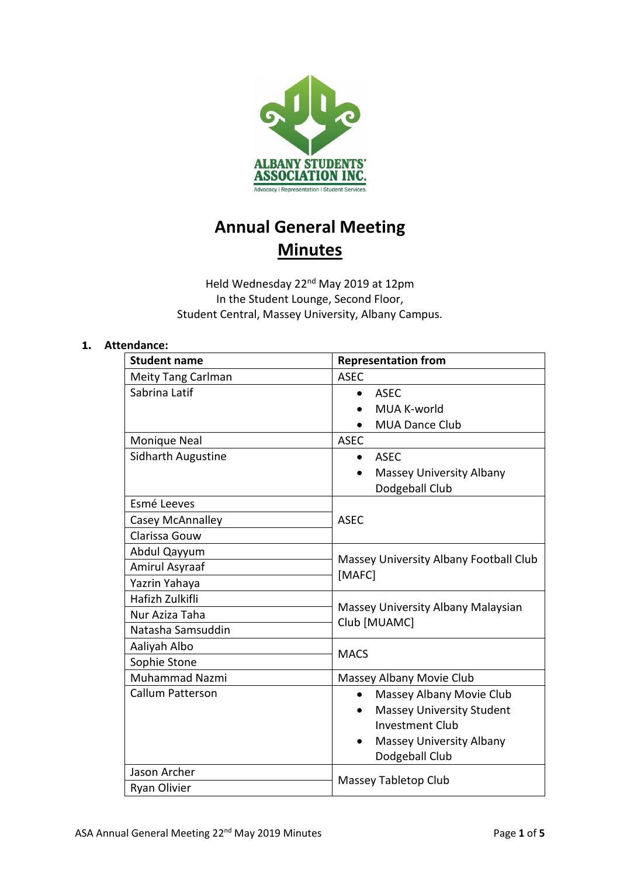

# **Annual General Meeting Minutes**

Held Wednesday 22<sup>nd</sup> May 2019 at 12pm In the Student Lounge, Second Floor, Student Central, Massey University, Albany Campus.

## **1. Attendance:**

| <b>Student name</b>       | <b>Representation from</b>                         |
|---------------------------|----------------------------------------------------|
| <b>Meity Tang Carlman</b> | <b>ASEC</b>                                        |
| Sabrina Latif             | <b>ASEC</b><br>$\bullet$                           |
|                           | MUA K-world                                        |
|                           | <b>MUA Dance Club</b>                              |
| <b>Monique Neal</b>       | <b>ASEC</b>                                        |
| <b>Sidharth Augustine</b> | <b>ASEC</b>                                        |
|                           | Massey University Albany                           |
|                           | Dodgeball Club                                     |
| Esmé Leeves               |                                                    |
| Casey McAnnalley          | <b>ASEC</b>                                        |
| Clarissa Gouw             |                                                    |
| Abdul Qayyum              | Massey University Albany Football Club<br>[MAFC]   |
| Amirul Asyraaf            |                                                    |
| Yazrin Yahaya             |                                                    |
| Hafizh Zulkifli           | Massey University Albany Malaysian<br>Club [MUAMC] |
| Nur Aziza Taha            |                                                    |
| Natasha Samsuddin         |                                                    |
| Aaliyah Albo              | <b>MACS</b>                                        |
| Sophie Stone              |                                                    |
| <b>Muhammad Nazmi</b>     | Massey Albany Movie Club                           |
| Callum Patterson          | Massey Albany Movie Club<br>$\bullet$              |
|                           | <b>Massey University Student</b>                   |
|                           | <b>Investment Club</b>                             |
|                           | <b>Massey University Albany</b><br>$\bullet$       |
|                           | Dodgeball Club                                     |
| Jason Archer              | Massey Tabletop Club                               |
| Ryan Olivier              |                                                    |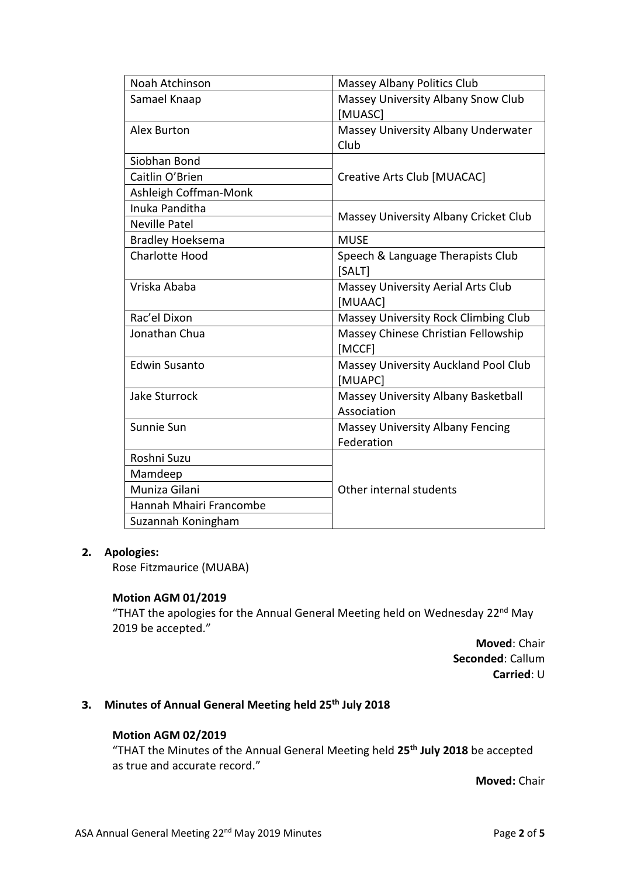| Noah Atchinson          | Massey Albany Politics Club             |
|-------------------------|-----------------------------------------|
| Samael Knaap            | Massey University Albany Snow Club      |
|                         | [MUASC]                                 |
| <b>Alex Burton</b>      | Massey University Albany Underwater     |
|                         | Club                                    |
| Siobhan Bond            | Creative Arts Club [MUACAC]             |
| Caitlin O'Brien         |                                         |
| Ashleigh Coffman-Monk   |                                         |
| Inuka Panditha          | Massey University Albany Cricket Club   |
| <b>Neville Patel</b>    |                                         |
| <b>Bradley Hoeksema</b> | <b>MUSE</b>                             |
| <b>Charlotte Hood</b>   | Speech & Language Therapists Club       |
|                         | [SALT]                                  |
| Vriska Ababa            | Massey University Aerial Arts Club      |
|                         | [MUAAC]                                 |
| Rac'el Dixon            | Massey University Rock Climbing Club    |
| Jonathan Chua           | Massey Chinese Christian Fellowship     |
|                         | [MCCF]                                  |
| <b>Edwin Susanto</b>    | Massey University Auckland Pool Club    |
|                         | [MUAPC]                                 |
| <b>Jake Sturrock</b>    | Massey University Albany Basketball     |
|                         | Association                             |
| Sunnie Sun              | <b>Massey University Albany Fencing</b> |
|                         | Federation                              |
| Roshni Suzu             | Other internal students                 |
| Mamdeep                 |                                         |
| Muniza Gilani           |                                         |
| Hannah Mhairi Francombe |                                         |
| Suzannah Koningham      |                                         |

## **2. Apologies:**

Rose Fitzmaurice (MUABA)

## **Motion AGM 01/2019**

"THAT the apologies for the Annual General Meeting held on Wednesday 22<sup>nd</sup> May 2019 be accepted."

> **Moved**: Chair **Seconded**: Callum **Carried**: U

## **3. Minutes of Annual General Meeting held 25 th July 2018**

## **Motion AGM 02/2019**

"THAT the Minutes of the Annual General Meeting held **25 th July 2018** be accepted as true and accurate record."

**Moved:** Chair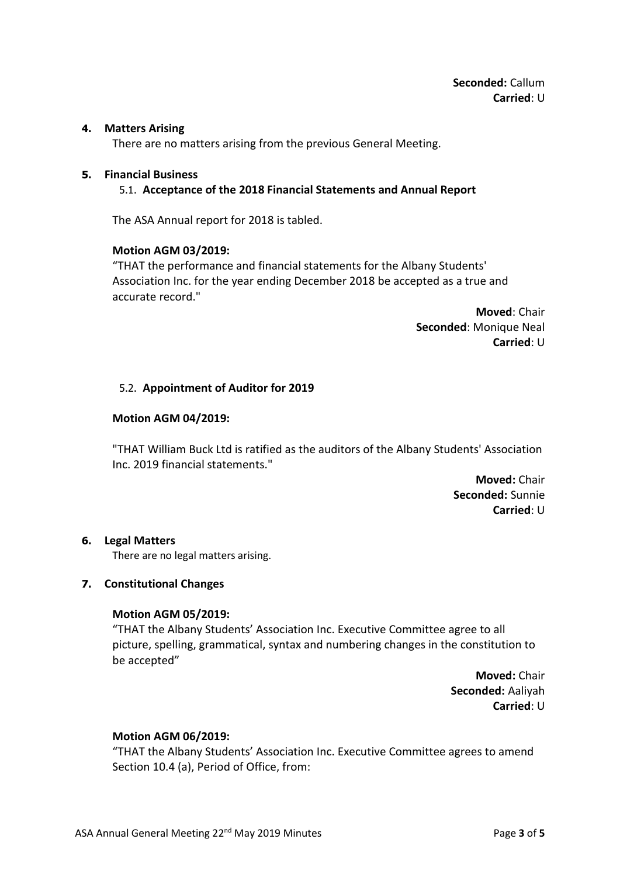## **4. Matters Arising**

There are no matters arising from the previous General Meeting.

#### **5. Financial Business**

## 5.1. **Acceptance of the 2018 Financial Statements and Annual Report**

The ASA Annual report for 2018 is tabled.

#### **Motion AGM 03/2019:**

"THAT the performance and financial statements for the Albany Students' Association Inc. for the year ending December 2018 be accepted as a true and accurate record."

> **Moved**: Chair **Seconded**: Monique Neal **Carried**: U

#### 5.2. **Appointment of Auditor for 2019**

#### **Motion AGM 04/2019:**

"THAT William Buck Ltd is ratified as the auditors of the Albany Students' Association Inc. 2019 financial statements."

> **Moved:** Chair **Seconded:** Sunnie **Carried**: U

#### **6. Legal Matters**

There are no legal matters arising.

## **7. Constitutional Changes**

## **Motion AGM 05/2019:**

"THAT the Albany Students' Association Inc. Executive Committee agree to all picture, spelling, grammatical, syntax and numbering changes in the constitution to be accepted"

> **Moved:** Chair **Seconded:** Aaliyah **Carried**: U

#### **Motion AGM 06/2019:**

"THAT the Albany Students' Association Inc. Executive Committee agrees to amend Section 10.4 (a), Period of Office, from: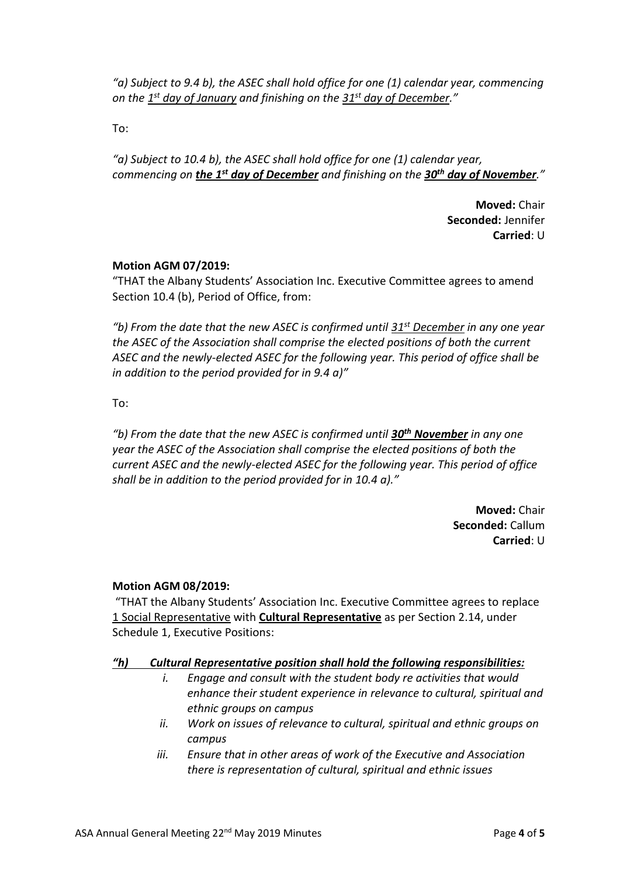*"a) Subject to 9.4 b), the ASEC shall hold office for one (1) calendar year, commencing on the 1 st day of January and finishing on the 31st day of December."*

To:

*"a) Subject to 10.4 b), the ASEC shall hold office for one (1) calendar year, commencing on the 1st day of December and finishing on the 30th day of November."*

> **Moved:** Chair **Seconded:** Jennifer **Carried**: U

## **Motion AGM 07/2019:**

"THAT the Albany Students' Association Inc. Executive Committee agrees to amend Section 10.4 (b), Period of Office, from:

*"b) From the date that the new ASEC is confirmed until 31st December in any one year the ASEC of the Association shall comprise the elected positions of both the current ASEC and the newly-elected ASEC for the following year. This period of office shall be in addition to the period provided for in 9.4 a)"*

To:

*"b) From the date that the new ASEC is confirmed until 30th November in any one year the ASEC of the Association shall comprise the elected positions of both the current ASEC and the newly-elected ASEC for the following year. This period of office shall be in addition to the period provided for in 10.4 a)."*

> **Moved:** Chair **Seconded:** Callum **Carried**: U

## **Motion AGM 08/2019:**

"THAT the Albany Students' Association Inc. Executive Committee agrees to replace 1 Social Representative with **Cultural Representative** as per Section 2.14, under Schedule 1, Executive Positions:

# *"h) Cultural Representative position shall hold the following responsibilities:*

- *i. Engage and consult with the student body re activities that would enhance their student experience in relevance to cultural, spiritual and ethnic groups on campus*
- *ii. Work on issues of relevance to cultural, spiritual and ethnic groups on campus*
- *iii. Ensure that in other areas of work of the Executive and Association there is representation of cultural, spiritual and ethnic issues*